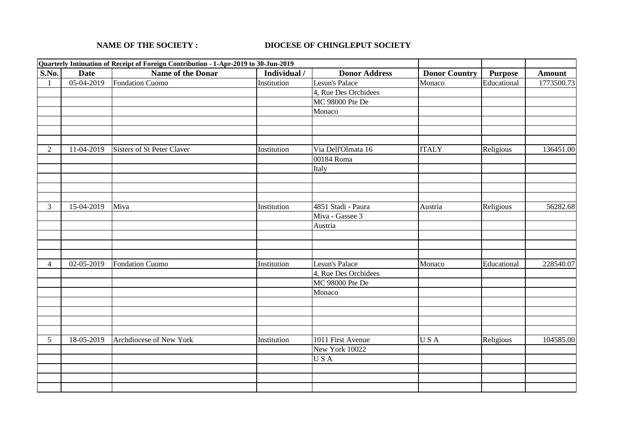## **NAME OF THE SOCIETY : DIOCESE OF CHINGLEPUT SOCIETY**

|                |              | Quarterly Intimation of Receipt of Foreign Contribution - 1-Apr-2019 to 30-Jun-2019 |              |                      |                      |                |               |
|----------------|--------------|-------------------------------------------------------------------------------------|--------------|----------------------|----------------------|----------------|---------------|
| S.No.          | <b>Date</b>  | <b>Name of the Donar</b>                                                            | Individual / | <b>Donor Address</b> | <b>Donor Country</b> | <b>Purpose</b> | <b>Amount</b> |
| $\mathbf{1}$   | $05-04-2019$ | Fondation Cuomo                                                                     | Institution  | Lesun's Palace       | Monaco               | Educational    | 1773500.73    |
|                |              |                                                                                     |              | 4, Rue Des Orchidees |                      |                |               |
|                |              |                                                                                     |              | MC 98000 Pte De      |                      |                |               |
|                |              |                                                                                     |              | Monaco               |                      |                |               |
|                |              |                                                                                     |              |                      |                      |                |               |
|                |              |                                                                                     |              |                      |                      |                |               |
|                |              |                                                                                     |              |                      |                      |                |               |
| $\overline{2}$ | 11-04-2019   | Sisters of St Peter Claver                                                          | Institution  | Via Dell'Olmata 16   | <b>ITALY</b>         | Religious      | 136451.00     |
|                |              |                                                                                     |              | 00184 Roma           |                      |                |               |
|                |              |                                                                                     |              | Italy                |                      |                |               |
|                |              |                                                                                     |              |                      |                      |                |               |
|                |              |                                                                                     |              |                      |                      |                |               |
|                |              |                                                                                     |              |                      |                      |                |               |
| $\overline{3}$ | 15-04-2019   | Miva                                                                                | Institution  | 4851 Stadi - Paura   | Austria              | Religious      | 56282.68      |
|                |              |                                                                                     |              | Miva - Gassee 3      |                      |                |               |
|                |              |                                                                                     |              | Austria              |                      |                |               |
|                |              |                                                                                     |              |                      |                      |                |               |
|                |              |                                                                                     |              |                      |                      |                |               |
|                |              |                                                                                     |              |                      |                      |                |               |
| 4              | 02-05-2019   | <b>Fondation Cuomo</b>                                                              | Institution  | Lesun's Palace       | Monaco               | Educational    | 228540.07     |
|                |              |                                                                                     |              | 4, Rue Des Orchidees |                      |                |               |
|                |              |                                                                                     |              | MC 98000 Pte De      |                      |                |               |
|                |              |                                                                                     |              | Monaco               |                      |                |               |
|                |              |                                                                                     |              |                      |                      |                |               |
|                |              |                                                                                     |              |                      |                      |                |               |
|                |              |                                                                                     |              |                      |                      |                |               |
|                |              |                                                                                     |              |                      |                      |                |               |
| 5 <sup>5</sup> | 18-05-2019   | Archdiocese of New York                                                             | Institution  | 1011 First Avenue    | USA                  | Religious      | 104585.00     |
|                |              |                                                                                     |              | New York 10022       |                      |                |               |
|                |              |                                                                                     |              | USA                  |                      |                |               |
|                |              |                                                                                     |              |                      |                      |                |               |
|                |              |                                                                                     |              |                      |                      |                |               |
|                |              |                                                                                     |              |                      |                      |                |               |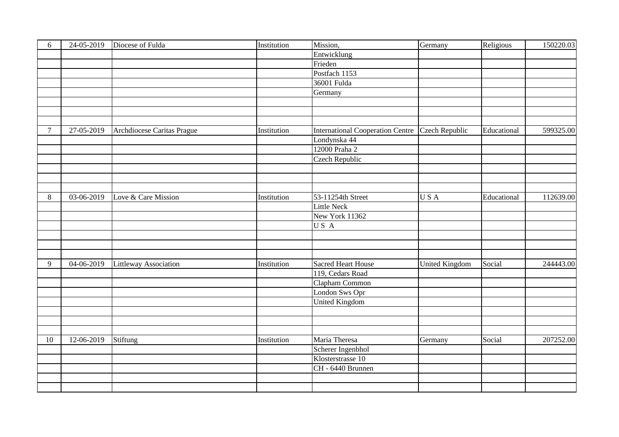| 6              | 24-05-2019   | Diocese of Fulda             | Institution | Mission,                                | Germany               | Religious   | 150220.03 |
|----------------|--------------|------------------------------|-------------|-----------------------------------------|-----------------------|-------------|-----------|
|                |              |                              |             | Entwicklung                             |                       |             |           |
|                |              |                              |             | Frieden                                 |                       |             |           |
|                |              |                              |             | Postfach 1153                           |                       |             |           |
|                |              |                              |             | 36001 Fulda                             |                       |             |           |
|                |              |                              |             | Germany                                 |                       |             |           |
|                |              |                              |             |                                         |                       |             |           |
|                |              |                              |             |                                         |                       |             |           |
|                |              |                              |             |                                         |                       |             |           |
| $\overline{7}$ | 27-05-2019   | Archdiocese Caritas Prague   | Institution | <b>International Cooperation Centre</b> | <b>Czech Republic</b> | Educational | 599325.00 |
|                |              |                              |             | Londynska 44                            |                       |             |           |
|                |              |                              |             | 12000 Praha 2                           |                       |             |           |
|                |              |                              |             | <b>Czech Republic</b>                   |                       |             |           |
|                |              |                              |             |                                         |                       |             |           |
|                |              |                              |             |                                         |                       |             |           |
|                |              |                              |             |                                         |                       |             |           |
| 8              | 03-06-2019   | Love & Care Mission          | Institution | 53-11254th Street                       | USA                   | Educational | 112639.00 |
|                |              |                              |             | <b>Little Neck</b>                      |                       |             |           |
|                |              |                              |             | New York 11362                          |                       |             |           |
|                |              |                              |             | US A                                    |                       |             |           |
|                |              |                              |             |                                         |                       |             |           |
|                |              |                              |             |                                         |                       |             |           |
|                |              |                              |             |                                         |                       |             |           |
| 9              | $04-06-2019$ | <b>Littleway Association</b> | Institution | <b>Sacred Heart House</b>               | <b>United Kingdom</b> | Social      | 244443.00 |
|                |              |                              |             | 119, Cedars Road                        |                       |             |           |
|                |              |                              |             | Clapham Common                          |                       |             |           |
|                |              |                              |             | London Sws Opr                          |                       |             |           |
|                |              |                              |             | <b>United Kingdom</b>                   |                       |             |           |
|                |              |                              |             |                                         |                       |             |           |
|                |              |                              |             |                                         |                       |             |           |
|                |              |                              |             |                                         |                       |             |           |
| 10             | 12-06-2019   | Stiftung                     | Institution | Maria Theresa                           | Germany               | Social      | 207252.00 |
|                |              |                              |             | Scherer Ingenbhol                       |                       |             |           |
|                |              |                              |             | Klosterstrasse 10                       |                       |             |           |
|                |              |                              |             | CH - 6440 Brunnen                       |                       |             |           |
|                |              |                              |             |                                         |                       |             |           |
|                |              |                              |             |                                         |                       |             |           |